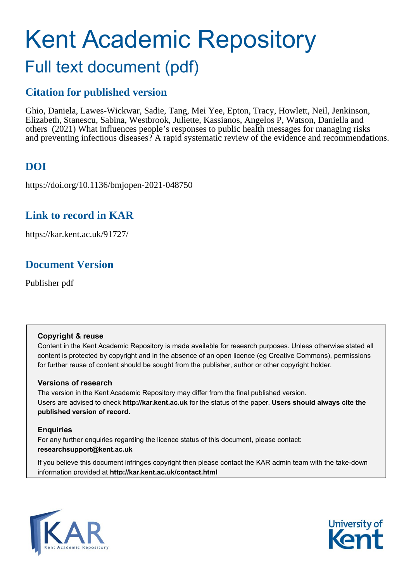# Kent Academic Repository Full text document (pdf)

## **Citation for published version**

Ghio, Daniela, Lawes-Wickwar, Sadie, Tang, Mei Yee, Epton, Tracy, Howlett, Neil, Jenkinson, Elizabeth, Stanescu, Sabina, Westbrook, Juliette, Kassianos, Angelos P, Watson, Daniella and others (2021) What influences people's responses to public health messages for managing risks and preventing infectious diseases? A rapid systematic review of the evidence and recommendations.

## **DOI**

https://doi.org/10.1136/bmjopen-2021-048750

### **Link to record in KAR**

https://kar.kent.ac.uk/91727/

## **Document Version**

Publisher pdf

### **Copyright & reuse**

Content in the Kent Academic Repository is made available for research purposes. Unless otherwise stated all content is protected by copyright and in the absence of an open licence (eg Creative Commons), permissions for further reuse of content should be sought from the publisher, author or other copyright holder.

### **Versions of research**

The version in the Kent Academic Repository may differ from the final published version. Users are advised to check **http://kar.kent.ac.uk** for the status of the paper. **Users should always cite the published version of record.**

### **Enquiries**

For any further enquiries regarding the licence status of this document, please contact: **researchsupport@kent.ac.uk**

If you believe this document infringes copyright then please contact the KAR admin team with the take-down information provided at **http://kar.kent.ac.uk/contact.html**



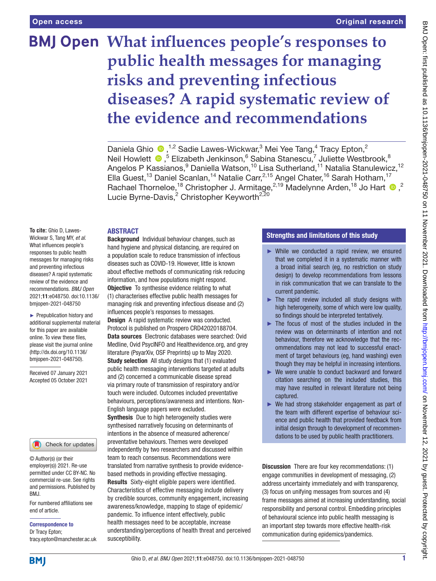## **What influences people's responses to public health messages for managing risks and preventing infectious diseases? A rapid systematic review of the evidence and recommendations**

Daniela Ghio  $\bullet$ ,<sup>1,2</sup> Sadie Lawes-Wickwar,<sup>3</sup> Mei Yee Tang,<sup>4</sup> Tracy Epton,<sup>2</sup> Neil Howlett <sup>®</sup>,<sup>5</sup> Elizabeth Jenkinson,<sup>6</sup> Sabina Stanescu,<sup>7</sup> Juliette Westbrook,<sup>8</sup> Angelos P Kassianos,<sup>9</sup> Daniella Watson,<sup>10</sup> Lisa Sutherland,<sup>11</sup> Natalia Stanulewicz,<sup>12</sup> Ella Guest,<sup>13</sup> Daniel Scanlan,<sup>14</sup> Natalie Carr,<sup>2,15</sup> Angel Chater,<sup>16</sup> Sarah Hotham,<sup>17</sup> Rachael Thorneloe,<sup>18</sup> Christopher J. Armitage,<sup>2,19</sup> Madelynne Arden,<sup>18</sup> Jo Hart <sup>10</sup>,<sup>2</sup> Lucie Byrne-Davis,<sup>2</sup> Christopher Keyworth<sup>2,20</sup>

#### **ARSTRACT**

**To cite:** Ghio D, Lawes-Wickwar S, Tang MY, *et al*. What influences people's responses to public health messages for managing risks and preventing infectious diseases? A rapid systematic review of the evidence and recommendations. *BMJ Open* 2021;11:e048750. doi:10.1136/ bmjopen-2021-048750

► Prepublication history and additional supplemental material for this paper are available online. To view these files, please visit the journal online [\(http://dx.doi.org/10.1136/](http://dx.doi.org/10.1136/bmjopen-2021-048750) [bmjopen-2021-048750](http://dx.doi.org/10.1136/bmjopen-2021-048750)).

Received 07 January 2021 Accepted 05 October 2021

#### Check for updates

© Author(s) (or their employer(s)) 2021. Re-use permitted under CC BY-NC. No commercial re-use. See rights and permissions. Published by BMJ.

For numbered affiliations see end of article.

Correspondence to

Dr Tracy Epton; tracy.epton@manchester.ac.uk

Background Individual behaviour changes, such as hand hygiene and physical distancing, are required on a population scale to reduce transmission of infectious diseases such as COVID-19. However, little is known about effective methods of communicating risk reducing information, and how populations might respond. **Objective** To synthesise evidence relating to what (1) characterises effective public health messages for

managing risk and preventing infectious disease and (2) influences people's responses to messages. Design A rapid systematic review was conducted. Protocol is published on Prospero CRD42020188704.

Data sources Electronic databases were searched: Ovid Medline, Ovid PsycINFO and Healthevidence.org, and grey literature (PsyarXiv, OSF Preprints) up to May 2020. Study selection All study designs that (1) evaluated public health messaging interventions targeted at adults and (2) concerned a communicable disease spread via primary route of transmission of respiratory and/or touch were included. Outcomes included preventative behaviours, perceptions/awareness and intentions. Non-English language papers were excluded.

**Synthesis** Due to high heterogeneity studies were synthesised narratively focusing on determinants of intentions in the absence of measured adherence/ preventative behaviours. Themes were developed independently by two researchers and discussed within team to reach consensus. Recommendations were translated from narrative synthesis to provide evidencebased methods in providing effective messaging. Results Sixty-eight eligible papers were identified. Characteristics of effective messaging include delivery by credible sources, community engagement, increasing awareness/knowledge, mapping to stage of epidemic/ pandemic. To influence intent effectively, public health messages need to be acceptable, increase understanding/perceptions of health threat and perceived susceptibility.

#### Strengths and limitations of this study

- ► While we conducted a rapid review, we ensured that we completed it in a systematic manner with a broad initial search (eg, no restriction on study design) to develop recommendations from lessons in risk communication that we can translate to the current pandemic.
- $\blacktriangleright$  The rapid review included all study designs with high heterogeneity, some of which were low quality, so findings should be interpreted tentatively.
- $\blacktriangleright$  The focus of most of the studies included in the review was on determinants of intention and not behaviour, therefore we acknowledge that the recommendations may not lead to successful enactment of target behaviours (eg, hand washing) even though they may be helpful in increasing intentions.
- ► We were unable to conduct backward and forward citation searching on the included studies, this may have resulted in relevant literature not being captured.
- ► We had strong stakeholder engagement as part of the team with different expertise of behaviour science and public health that provided feedback from initial design through to development of recommendations to be used by public health practitioners.

Discussion There are four key recommendations: (1) engage communities in development of messaging, (2) address uncertainty immediately and with transparency, (3) focus on unifying messages from sources and (4) frame messages aimed at increasing understanding, social responsibility and personal control. Embedding principles of behavioural science into public health messaging is an important step towards more effective health-risk communication during epidemics/pandemics.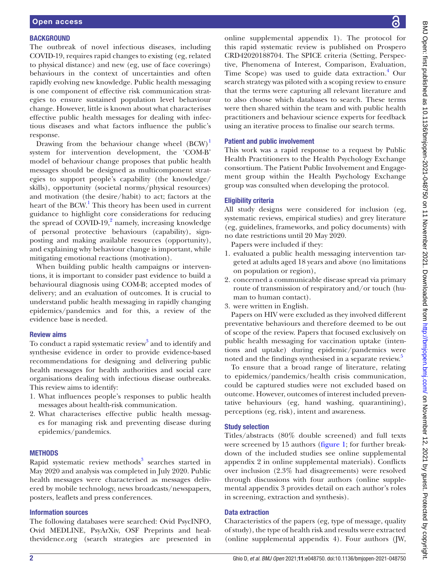#### **BACKGROUND**

The outbreak of novel infectious diseases, including COVID-19, requires rapid changes to existing (eg, related to physical distance) and new (eg, use of face coverings) behaviours in the context of uncertainties and often rapidly evolving new knowledge. Public health messaging is one component of effective risk communication strategies to ensure sustained population level behaviour change. However, little is known about what characterises effective public health messages for dealing with infectious diseases and what factors influence the public's response.

Drawing from the behaviour change wheel  $(BCW)^1$ system for intervention development, the 'COM-B' model of behaviour change proposes that public health messages should be designed as multicomponent strategies to support people's capability (the knowledge/ skills), opportunity (societal norms/physical resources) and motivation (the desire/habit) to act; factors at the heart of the BCW.<sup>1</sup> This theory has been used in current guidance to highlight core considerations for reducing the spread of  $\text{COVID-19}$ , amely, increasing knowledge of personal protective behaviours (capability), signposting and making available resources (opportunity), and explaining why behaviour change is important, while mitigating emotional reactions (motivation).

When building public health campaigns or interventions, it is important to consider past evidence to build a behavioural diagnosis using COM-B; accepted modes of delivery; and an evaluation of outcomes. It is crucial to understand public health messaging in rapidly changing epidemics/pandemics and for this, a review of the evidence base is needed.

#### Review aims

To conduct a rapid systematic review<sup>3</sup> and to identify and synthesise evidence in order to provide evidence-based recommendations for designing and delivering public health messages for health authorities and social care organisations dealing with infectious disease outbreaks. This review aims to identify:

- 1. What influences people's responses to public health messages about health-risk communication.
- 2. What characterises effective public health messages for managing risk and preventing disease during epidemics/pandemics.

#### **METHODS**

Rapid systematic review methods<sup>3</sup> searches started in May 2020 and analysis was completed in July 2020. Public health messages were characterised as messages delivered by mobile technology, news broadcasts/newspapers, posters, leaflets and press conferences.

#### Information sources

The following databases were searched: Ovid PsycINFO, Ovid MEDLINE, PsyArXiv, OSF Preprints and healthevidence.org (search strategies are presented in [online supplemental appendix 1](https://dx.doi.org/10.1136/bmjopen-2021-048750)). The protocol for this rapid systematic review is published on Prospero CRD42020188704. The SPICE criteria (Setting, Perspective, Phenomena of Interest, Comparison, Evaluation, Time Scope) was used to guide data extraction.<sup>4</sup> Our search strategy was piloted with a scoping review to ensure that the terms were capturing all relevant literature and to also choose which databases to search. These terms were then shared within the team and with public health practitioners and behaviour science experts for feedback using an iterative process to finalise our search terms.

#### Patient and public involvement

This work was a rapid response to a request by Public Health Practitioners to the Health Psychology Exchange consortium. The Patient Public Involvement and Engagement group within the Health Psychology Exchange group was consulted when developing the protocol.

#### Eligibility criteria

All study designs were considered for inclusion (eg, systematic reviews, empirical studies) and grey literature (eg, guidelines, frameworks, and policy documents) with no date restrictions until 20 May 2020.

Papers were included if they:

- 1. evaluated a public health messaging intervention targeted at adults aged 18 years and above (no limitations on population or region),
- 2. concerned a communicable disease spread via primary route of transmission of respiratory and/or touch (human to human contact).
- 3. were written in English.

Papers on HIV were excluded as they involved different preventative behaviours and therefore deemed to be out of scope of the review. Papers that focused exclusively on public health messaging for vaccination uptake (intentions and uptake) during epidemic/pandemics were noted and the findings synthesised in a separate review.<sup>5</sup>

To ensure that a broad range of literature, relating to epidemics/pandemics/health crisis communication, could be captured studies were not excluded based on outcome. However, outcomes of interest included preventative behaviours (eg, hand washing, quarantining), perceptions (eg, risk), intent and awareness.

#### Study selection

Titles/abstracts (80% double screened) and full texts were screened by 15 authors (figure 1; for further breakdown of the included studies see [online supplemental](https://dx.doi.org/10.1136/bmjopen-2021-048750)  [appendix 2](https://dx.doi.org/10.1136/bmjopen-2021-048750) in [online supplemental materials\)](https://dx.doi.org/10.1136/bmjopen-2021-048750). Conflicts over inclusion (2.3% had disagreements) were resolved through discussions with four authors [\(online supple](https://dx.doi.org/10.1136/bmjopen-2021-048750)[mental appendix 3](https://dx.doi.org/10.1136/bmjopen-2021-048750) provides detail on each author's roles in screening, extraction and synthesis).

#### Data extraction

Characteristics of the papers (eg, type of message, quality of study), the type of health risk and results were extracted [\(online supplemental appendix 4](https://dx.doi.org/10.1136/bmjopen-2021-048750)). Four authors (JW,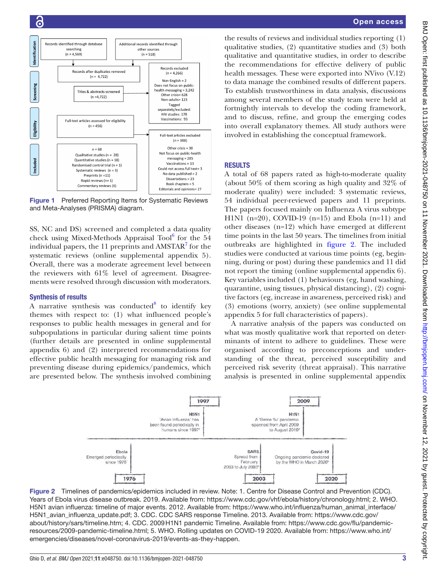

Figure 1 Preferred Reporting Items for Systematic Reviews and Meta-Analyses (PRISMA) diagram.

SS, NC and DS) screened and completed a data quality check using Mixed-Methods Appraisal Tool<sup>6</sup> for the 54 individual papers, the  $11$  preprints and AMSTAR $^7$  for the systematic reviews ([online supplemental appendix 5](https://dx.doi.org/10.1136/bmjopen-2021-048750)). Overall, there was a moderate agreement level between the reviewers with  $61\%$  level of agreement. Disagreements were resolved through discussion with moderators.

#### Synthesis of results

A narrative synthesis was conducted<sup>8</sup> to identify key themes with respect to: (1) what influenced people's responses to public health messages in general and for subpopulations in particular during salient time points (further details are presented in [online supplemental](https://dx.doi.org/10.1136/bmjopen-2021-048750) [appendix 6](https://dx.doi.org/10.1136/bmjopen-2021-048750)) and (2) interpreted recommendations for effective public health messaging for managing risk and preventing disease during epidemics/pandemics, which are presented below. The synthesis involved combining

the results of reviews and individual studies reporting (1) qualitative studies, (2) quantitative studies and (3) both qualitative and quantitative studies, in order to describe the recommendations for effective delivery of public health messages. These were exported into NVivo (V.12) to data manage the combined results of different papers. To establish trustworthiness in data analysis, discussions among several members of the study team were held at fortnightly intervals to develop the coding framework, and to discuss, refine, and group the emerging codes into overall explanatory themes. All study authors were involved in establishing the conceptual framework.

#### **RESULTS**

A total of 68 papers rated as high-to-moderate quality (about 50% of them scoring as high quality and 32% of moderate quality) were included: 3 systematic reviews, 54 individual peer-reviewed papers and 11 preprints. The papers focused mainly on Influenza A virus subtype H1N1 (n=20), COVID-19 (n=15) and Ebola (n=11) and other diseases (n=12) which have emerged at different time points in the last 50 years. The timelines from initial outbreaks are highlighted in figure 2. The included studies were conducted at various time points (eg, beginning, during or post) during these pandemics and 11 did not report the timing [\(online supplemental appendix 6\)](https://dx.doi.org/10.1136/bmjopen-2021-048750). Key variables included (1) behaviours (eg, hand washing, quarantine, using tissues, physical distancing), (2) cognitive factors (eg, increase in awareness, perceived risk) and (3) emotions (worry, anxiety) (see [online supplemental](https://dx.doi.org/10.1136/bmjopen-2021-048750)  [appendix 5](https://dx.doi.org/10.1136/bmjopen-2021-048750) for full characteristics of papers).

A narrative analysis of the papers was conducted on what was mostly qualitative work that reported on determinants of intent to adhere to guidelines. These were organised according to preconceptions and understanding of the threat, perceived susceptibility and perceived risk severity (threat appraisal). This narrative analysis is presented in [online supplemental appendix](https://dx.doi.org/10.1136/bmjopen-2021-048750) 



Figure 2 Timelines of pandemics/epidemics included in review. Note: 1. Centre for Disease Control and Prevention (CDC). Years of Ebola virus disease outbreak. 2019. Available from: <https://www.cdc.gov/vhf/ebola/history/chronology.html>; 2. WHO. H5N1 avian influenza: timeline of major events. 2012. Available from: [https://www.who.int/influenza/human\\_animal\\_interface/](https://www.who.int/influenza/human_animal_interface/H5N1_avian_influenza_update.pdf) [H5N1\\_avian\\_influenza\\_update.pdf;](https://www.who.int/influenza/human_animal_interface/H5N1_avian_influenza_update.pdf) 3. CDC. CDC SARS response Timeline. 2013. Available from: [https://www.cdc.gov/](https://www.cdc.gov/about/history/sars/timeline.htm) [about/history/sars/timeline.htm;](https://www.cdc.gov/about/history/sars/timeline.htm) 4. CDC. 2009H1N1 pandemic Timeline. Available from: [https://www.cdc.gov/flu/pandemic](https://www.cdc.gov/flu/pandemic-resources/2009-pandemic-timeline.html)[resources/2009-pandemic-timeline.html;](https://www.cdc.gov/flu/pandemic-resources/2009-pandemic-timeline.html) 5. WHO. Rolling updates on COVID-19 2020. Available from: [https://www.who.int/](https://www.who.int/emergencies/diseases/novel-coronavirus-2019/events-as-they-happen) [emergencies/diseases/novel-coronavirus-2019/events-as-they-happen](https://www.who.int/emergencies/diseases/novel-coronavirus-2019/events-as-they-happen).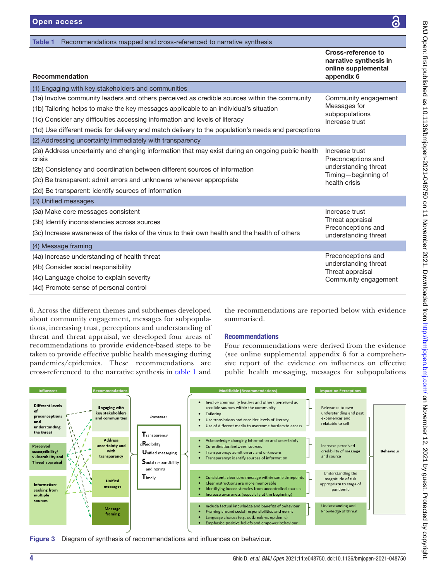| Recommendations mapped and cross-referenced to narrative synthesis<br>Table 1                              |                                                                                   |
|------------------------------------------------------------------------------------------------------------|-----------------------------------------------------------------------------------|
| <b>Recommendation</b>                                                                                      | Cross-reference to<br>narrative synthesis in<br>online supplemental<br>appendix 6 |
| (1) Engaging with key stakeholders and communities                                                         |                                                                                   |
| (1a) Involve community leaders and others perceived as credible sources within the community               | Community engagement                                                              |
| (1b) Tailoring helps to make the key messages applicable to an individual's situation                      | Messages for<br>subpopulations                                                    |
| (1c) Consider any difficulties accessing information and levels of literacy                                | Increase trust                                                                    |
| (1d) Use different media for delivery and match delivery to the population's needs and perceptions         |                                                                                   |
| (2) Addressing uncertainty immediately with transparency                                                   |                                                                                   |
| (2a) Address uncertainty and changing information that may exist during an ongoing public health<br>crisis | Increase trust<br>Preconceptions and                                              |
| (2b) Consistency and coordination between different sources of information                                 | understanding threat<br>Timing-beginning of                                       |
| (2c) Be transparent: admit errors and unknowns whenever appropriate                                        | health crisis                                                                     |
| (2d) Be transparent: identify sources of information                                                       |                                                                                   |
| (3) Unified messages                                                                                       |                                                                                   |
| (3a) Make core messages consistent                                                                         | Increase trust                                                                    |
| (3b) Identify inconsistencies across sources                                                               | Threat appraisal<br>Preconceptions and                                            |
| (3c) Increase awareness of the risks of the virus to their own health and the health of others             | understanding threat                                                              |
| (4) Message framing                                                                                        |                                                                                   |
| (4a) Increase understanding of health threat                                                               | Preconceptions and                                                                |
| (4b) Consider social responsibility                                                                        | understanding threat<br>Threat appraisal                                          |
| (4c) Language choice to explain severity                                                                   | Community engagement                                                              |
| (4d) Promote sense of personal control                                                                     |                                                                                   |

[6.](https://dx.doi.org/10.1136/bmjopen-2021-048750) Across the different themes and subthemes developed about community engagement, messages for subpopulations, increasing trust, perceptions and understanding of threat and threat appraisal, we developed four areas of recommendations to provide evidence-based steps to be taken to provide effective public health messaging during pandemics/epidemics. These recommendations are cross-referenced to the narrative synthesis in table 1 and

the recommendations are reported below with evidence summarised.

#### Recommendations

Four recommendations were derived from the evidence (see [online supplemental appendix 6](https://dx.doi.org/10.1136/bmjopen-2021-048750) for a comprehensive report of the evidence on influences on effective public health messaging, messages for subpopulations



Figure 3 Diagram of synthesis of recommendations and influences on behaviour.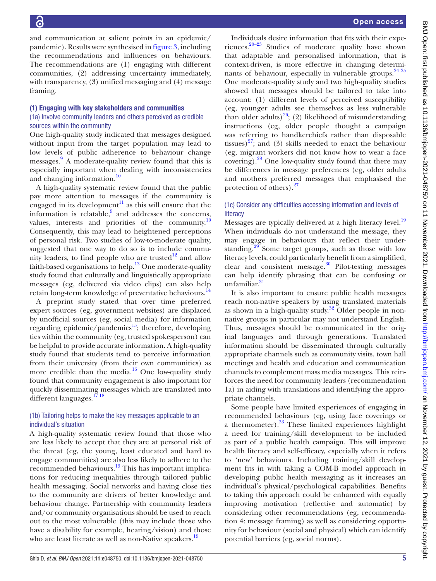and communication at salient points in an epidemic/ pandemic). Results were synthesised in figure 3, including the recommendations and influences on behaviours. The recommendations are (1) engaging with different communities, (2) addressing uncertainty immediately, with transparency, (3) unified messaging and (4) message framing.

#### (1) Engaging with key stakeholders and communities

#### (1a) Involve community leaders and others perceived as credible sources within the community

One high-quality study indicated that messages designed without input from the target population may lead to low levels of public adherence to behaviour change messages.<sup>9</sup> A moderate-quality review found that this is especially important when dealing with inconsistencies and changing information.<sup>10</sup>

A high-quality systematic review found that the public pay more attention to messages if the community is engaged in its development<sup>11</sup> as this will ensure that the information is relatable,<sup>9</sup> and addresses the concerns, values, interests and priorities of the community. $\frac{10}{10}$ Consequently, this may lead to heightened perceptions of personal risk. Two studies of low-to-moderate quality, suggested that one way to do so is to include community leaders, to find people who are trusted $12$  and allow faith-based organisations to help.<sup>13</sup> One moderate-quality study found that culturally and linguistically appropriate messages (eg, delivered via video clips) can also help retain long-term knowledge of preventative behaviours.<sup>14</sup>

A preprint study stated that over time preferred expert sources (eg, government websites) are displaced by unofficial sources (eg, social media) for information regarding epidemic/pandemics $15$ ; therefore, developing ties within the community (eg, trusted spokesperson) can be helpful to provide accurate information. A high-quality study found that students tend to perceive information from their university (from their own communities) as more credible than the media. $16$  One low-quality study found that community engagement is also important for quickly disseminating messages which are translated into different languages.<sup>1718</sup>

#### (1b) Tailoring helps to make the key messages applicable to an individual's situation

A high-quality systematic review found that those who are less likely to accept that they are at personal risk of the threat (eg, the young, least educated and hard to engage communities) are also less likely to adhere to the recommended behaviours.<sup>19</sup> This has important implications for reducing inequalities through tailored public health messaging. Social networks and having close ties to the community are drivers of better knowledge and behaviour change. Partnership with community leaders and/or community organisations should be used to reach out to the most vulnerable (this may include those who have a disability for example, hearing/vision) and those who are least literate as well as non-Native speakers.<sup>19</sup>

Individuals desire information that fits with their experiences. $20-23$  Studies of moderate quality have shown that adaptable and personalised information, that is context-driven, is more effective in changing determinants of behaviour, especially in vulnerable groups.<sup>24 25</sup> One moderate-quality study and two high-quality studies showed that messages should be tailored to take into account: (1) different levels of perceived susceptibility (eg, younger adults see themselves as less vulnerable than older adults)<sup>26</sup>; (2) likelihood of misunderstanding instructions (eg, older people thought a campaign was referring to handkerchiefs rather than disposable tissues) $27$ ; and (3) skills needed to enact the behaviour (eg, migrant workers did not know how to wear a face covering). $^{28}$  One low-quality study found that there may be differences in message preferences (eg, older adults and mothers preferred messages that emphasised the protection of others).<sup>27</sup>

#### (1c) Consider any difficulties accessing information and levels of **literacy**

Messages are typically delivered at a high literacy level.<sup>19</sup> When individuals do not understand the message, they may engage in behaviours that reflect their understanding.<sup>29</sup> Some target groups, such as those with low literacy levels, could particularly benefit from a simplified, clear and consistent message.<sup>30</sup> Pilot-testing messages can help identify phrasing that can be confusing or unfamiliar. 31

It is also important to ensure public health messages reach non-native speakers by using translated materials as shown in a high-quality study.<sup>32</sup> Older people in nonnative groups in particular may not understand English. Thus, messages should be communicated in the original languages and through generations. Translated information should be disseminated through culturally appropriate channels such as community visits, town hall meetings and health and education and communication channels to complement mass media messages. This reinforces the need for community leaders (recommendation 1a) in aiding with translations and identifying the appropriate channels.

Some people have limited experiences of engaging in recommended behaviours (eg, using face coverings or a thermometer).<sup>33</sup> These limited experiences highlight a need for training/skill development to be included as part of a public health campaign. This will improve health literacy and self-efficacy, especially when it refers to 'new' behaviours. Including training/skill development fits in with taking a COM-B model approach in developing public health messaging as it increases an individual's physical/psychological capabilities. Benefits to taking this approach could be enhanced with equally improving motivation (reflective and automatic) by considering other recommendations (eg, recommendation 4: message framing) as well as considering opportunity for behaviour (social and physical) which can identify potential barriers (eg, social norms).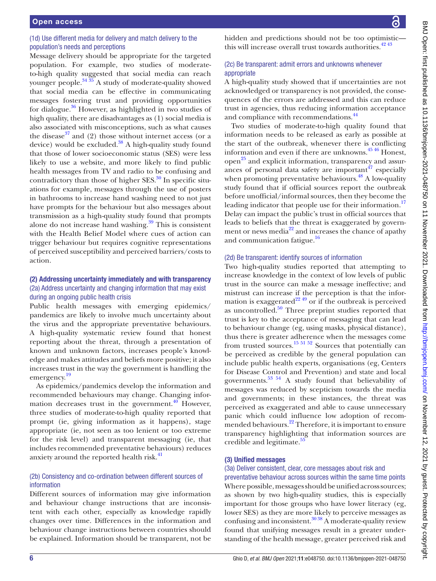#### (1d) Use different media for delivery and match delivery to the population's needs and perceptions

Message delivery should be appropriate for the targeted population. For example, two studies of moderateto-high quality suggested that social media can reach younger people. $34\frac{35}{26}$  A study of moderate-quality showed that social media can be effective in communicating messages fostering trust and providing opportunities for dialogue. $36$  However, as highlighted in two studies of high quality, there are disadvantages as (1) social media is also associated with misconceptions, such as what causes the disease<sup>37</sup> and (2) those without internet access (or a device) would be excluded. $38$  A high-quality study found that those of lower socioeconomic status (SES) were less likely to use a website, and more likely to find public health messages from TV and radio to be confusing and contradictory than those of higher  $SES$ <sup>30</sup> In specific situations for example, messages through the use of posters in bathrooms to increase hand washing need to not just have prompts for the behaviour but also messages about transmission as a high-quality study found that prompts alone do not increase hand washing. $39$  This is consistent with the Health Belief Model where cues of action can trigger behaviour but requires cognitive representations of perceived susceptibility and perceived barriers/costs to action.

#### (2) Addressing uncertainty immediately and with transparency (2a) Address uncertainty and changing information that may exist during an ongoing public health crisis

Public health messages with emerging epidemics/ pandemics are likely to involve much uncertainty about the virus and the appropriate preventative behaviours. A high-quality systematic review found that honest reporting about the threat, through a presentation of known and unknown factors, increases people's knowledge and makes attitudes and beliefs more positive; it also increases trust in the way the government is handling the emergency. 19

As epidemics/pandemics develop the information and recommended behaviours may change. Changing information decreases trust in the government. $40$  However, three studies of moderate-to-high quality reported that prompt (ie, giving information as it happens), stage appropriate (ie, not seen as too lenient or too extreme for the risk level) and transparent messaging (ie, that includes recommended preventative behaviours) reduces anxiety around the reported health risk.<sup>41</sup>

#### (2b) Consistency and co-ordination between different sources of information

Different sources of information may give information and behaviour change instructions that are inconsistent with each other, especially as knowledge rapidly changes over time. Differences in the information and behaviour change instructions between countries should be explained. Information should be transparent, not be

hidden and predictions should not be too optimistic this will increase overall trust towards authorities.  $42^{43}$ 

#### (2c) Be transparent: admit errors and unknowns whenever appropriate

A high-quality study showed that if uncertainties are not acknowledged or transparency is not provided, the consequences of the errors are addressed and this can reduce trust in agencies, thus reducing information acceptance and compliance with recommendations.<sup>44</sup>

Two studies of moderate-to-high quality found that information needs to be released as early as possible at the start of the outbreak, whenever there is conflicting information and even if there are unknowns.<sup>4546</sup> Honest, open<sup>25</sup> and explicit information, transparency and assurances of personal data safety are important  $47$  especially when promoting preventative behaviours. $^{48}$  A low-quality study found that if official sources report the outbreak before unofficial/informal sources, then they become the leading indicator that people use for their information.<sup>17</sup> Delay can impact the public's trust in official sources that leads to beliefs that the threat is exaggerated by government or news media $^{22}$  and increases the chance of apathy and communication fatigue.<sup>16</sup>

#### (2d) Be transparent: identify sources of information

Two high-quality studies reported that attempting to increase knowledge in the context of low levels of public trust in the source can make a message ineffective; and mistrust can increase if the perception is that the information is exaggerated<sup>22 49</sup> or if the outbreak is perceived as uncontrolled. $50$  Three preprint studies reported that trust is key to the acceptance of messaging that can lead to behaviour change (eg, using masks, physical distance), thus there is greater adherence when the messages come from trusted sources.<sup>15 51 52</sup> Sources that potentially can be perceived as credible by the general population can include public health experts, organisations (eg, Centers for Disease Control and Prevention) and state and local governments. $53 \times 54$  A study found that believability of messages was reduced by scepticism towards the media and governments; in these instances, the threat was perceived as exaggerated and able to cause unnecessary panic which could influence low adoption of recommended behaviours.<sup>22</sup> Therefore, it is important to ensure transparency highlighting that information sources are credible and legitimate.<sup>55</sup>

#### (3) Unified messages

#### (3a) Deliver consistent, clear, core messages about risk and

preventative behaviour across sources within the same time points Where possible, messages should be unified across sources; as shown by two high-quality studies, this is especially important for those groups who have lower literacy (eg, lower SES) as they are more likely to perceive messages as confusing and inconsistent.<sup>30 38</sup> A moderate-quality review found that unifying messages result in a greater understanding of the health message, greater perceived risk and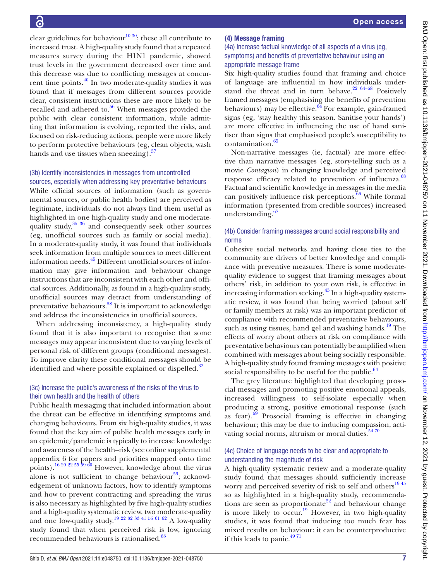clear guidelines for behaviour<sup>10 30</sup>; these all contribute to increased trust. A high-quality study found that a repeated measures survey during the H1N1 pandemic, showed trust levels in the government decreased over time and this decrease was due to conflicting messages at concurrent time points.40 In two moderate-quality studies it was found that if messages from different sources provide clear, consistent instructions these are more likely to be recalled and adhered to. $56$  When messages provided the public with clear consistent information, while admitting that information is evolving, reported the risks, and focused on risk-reducing actions, people were more likely to perform protective behaviours (eg, clean objects, wash hands and use tissues when sneezing).<sup>57</sup>

#### (3b) Identify inconsistencies in messages from uncontrolled sources, especially when addressing key preventative behaviours

While official sources of information (such as governmental sources, or public health bodies) are perceived as legitimate, individuals do not always find them useful as highlighted in one high-quality study and one moderatequality study,<sup>35 36</sup> and consequently seek other sources (eg, unofficial sources such as family or social media). In a moderate-quality study, it was found that individuals seek information from multiple sources to meet different information needs.45 Different unofficial sources of information may give information and behaviour change instructions that are inconsistent with each other and official sources. Additionally, as found in a high-quality study, unofficial sources may detract from understanding of preventative behaviours.<sup>58</sup> It is important to acknowledge and address the inconsistencies in unofficial sources.

When addressing inconsistency, a high-quality study found that it is also important to recognise that some messages may appear inconsistent due to varying levels of personal risk of different groups (conditional messages). To improve clarity these conditional messages should be identified and where possible explained or dispelled.<sup>32</sup>

#### (3c) Increase the public's awareness of the risks of the virus to their own health and the health of others

Public health messaging that included information about the threat can be effective in identifying symptoms and changing behaviours. From six high-quality studies, it was found that the key aim of public health messages early in an epidemic/pandemic is typically to increase knowledge and awareness of the health–risk (see [online supplemental](https://dx.doi.org/10.1136/bmjopen-2021-048750) [appendix 6](https://dx.doi.org/10.1136/bmjopen-2021-048750) for papers and priorities mapped onto time points).<sup>16 20 22 55 59 60</sup> However, knowledge about the virus alone is not sufficient to change behaviour $59$ ; acknowledgement of unknown factors, how to identify symptoms and how to prevent contracting and spreading the virus is also necessary as highlighted by five high-quality studies and a high-quality systematic review, two moderate-quality and one low-quality study.<sup>19 22 32 33 41 55 61 62</sup> A low-quality study found that when perceived risk is low, ignoring recommended behaviours is rationalised.<sup>63</sup>

#### (4) Message framing

(4a) Increase factual knowledge of all aspects of a virus (eg, symptoms) and benefits of preventative behaviour using an appropriate message frame

Six high-quality studies found that framing and choice of language are influential in how individuals understand the threat and in turn behave. $2264-68$  Positively framed messages (emphasising the benefits of prevention behaviours) may be effective. $64$  For example, gain-framed signs (eg, 'stay healthy this season. Sanitise your hands') are more effective in influencing the use of hand sanitiser than signs that emphasised people's susceptibility to contamination.<sup>65</sup>

Non-narrative messages (ie, factual) are more effective than narrative messages (eg, story-telling such as a movie *Contagion*) in changing knowledge and perceived response efficacy related to prevention of influenza.<sup>68</sup> Factual and scientific knowledge in messages in the media can positively influence risk perceptions. $\overline{66}$  While formal information (presented from credible sources) increased understanding.<sup>67</sup>

#### (4b) Consider framing messages around social responsibility and norms

Cohesive social networks and having close ties to the community are drivers of better knowledge and compliance with preventive measures. There is some moderatequality evidence to suggest that framing messages about others' risk, in addition to your own risk, is effective in increasing information seeking.<sup>45</sup> In a high-quality systematic review, it was found that being worried (about self or family members at risk) was an important predictor of compliance with recommended preventative behaviours, such as using tissues, hand gel and washing hands.<sup>19</sup> The effects of worry about others at risk on compliance with preventative behaviours can potentially be amplified when combined with messages about being socially responsible. A high-quality study found framing messages with positive social responsibility to be useful for the public. $64$ 

The grey literature highlighted that developing prosocial messages and promoting positive emotional appeals, increased willingness to self-isolate especially when producing a strong, positive emotional response (such as fear). $69$  Prosocial framing is effective in changing behaviour; this may be due to inducing compassion, activating social norms, altruism or moral duties.<sup>5470</sup>

#### (4c) Choice of language needs to be clear and appropriate to understanding the magnitude of risk

A high-quality systematic review and a moderate-quality study found that messages should sufficiently increase worry and perceived severity of risk to self and others<sup>1945</sup> so as highlighted in a high-quality study, recommendations are seen as proportionate<sup>22</sup> and behaviour change is more likely to  $\text{occur.}^{19}$  However, in two high-quality studies, it was found that inducing too much fear has mixed results on behaviour: it can be counterproductive if this leads to panic.<sup>4971</sup>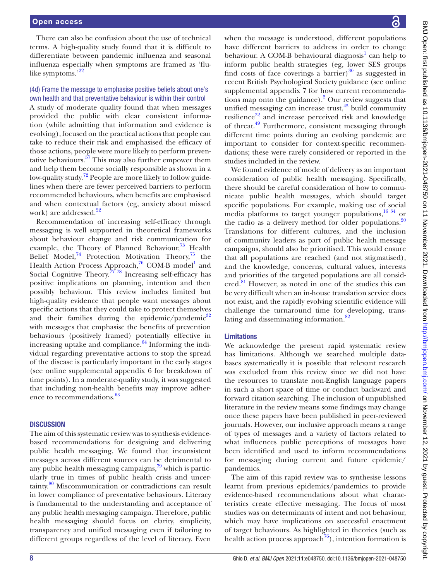There can also be confusion about the use of technical terms. A high-quality study found that it is difficult to differentiate between pandemic influenza and seasonal influenza especially when symptoms are framed as 'flulike symptoms.'<sup>22</sup>

#### (4d) Frame the message to emphasise positive beliefs about one's own health and that preventative behaviour is within their control

A study of moderate quality found that when messages provided the public with clear consistent information (while admitting that information and evidence is evolving), focused on the practical actions that people can take to reduce their risk and emphasised the efficacy of those actions, people were more likely to perform preventative behaviours. $57$  This may also further empower them and help them become socially responsible as shown in a low-quality study.<sup>72</sup> People are more likely to follow guidelines when there are fewer perceived barriers to perform recommended behaviours, when benefits are emphasised and when contextual factors (eg, anxiety about missed work) are addressed.<sup>22</sup>

Recommendation of increasing self-efficacy through messaging is well supported in theoretical frameworks about behaviour change and risk communication for example, the Theory of Planned Behaviour, $^{73}$  Health Belief Model,<sup>74</sup> Protection Motivation Theory,<sup>75</sup> the Health Action Process Approach,<sup>76</sup> COM-B model<sup>1</sup> and Social Cognitive Theory.<sup> $77\overline{78}$ </sup> Increasing self-efficacy has positive implications on planning, intention and then possibly behaviour. This review includes limited but high-quality evidence that people want messages about specific actions that they could take to protect themselves and their families during the epidemic/pandemic $32$ with messages that emphasise the benefits of prevention behaviours (positively framed) potentially effective in increasing uptake and compliance. $64$  Informing the individual regarding preventative actions to stop the spread of the disease is particularly important in the early stages (see [online supplemental appendix 6](https://dx.doi.org/10.1136/bmjopen-2021-048750) for breakdown of time points). In a moderate-quality study, it was suggested that including non-health benefits may improve adherence to recommendations.<sup>63</sup>

#### **DISCUSSION**

The aim of this systematic review was to synthesis evidencebased recommendations for designing and delivering public health messaging. We found that inconsistent messages across different sources can be detrimental to any public health messaging campaigns, $79$  which is particularly true in times of public health crisis and uncertainty.80 Miscommunication or contradictions can result in lower compliance of preventative behaviours. Literacy is fundamental to the understanding and acceptance of any public health messaging campaign. Therefore, public health messaging should focus on clarity, simplicity, transparency and unified messaging even if tailoring to different groups regardless of the level of literacy. Even

when the message is understood, different populations have different barriers to address in order to change behaviour. A COM-B behavioural diagnosis<sup>1</sup> can help to inform public health strategies (eg, lower SES groups find costs of face coverings a barrier) $30$  as suggested in recent British Psychological Society guidance (see [online](https://dx.doi.org/10.1136/bmjopen-2021-048750)  [supplemental appendix 7](https://dx.doi.org/10.1136/bmjopen-2021-048750) for how current recommendations map onto the guidance).<sup>2</sup> Our review suggests that unified messaging can increase trust, $45$  build community resilience $32$  and increase perceived risk and knowledge of threat.49 Furthermore, consistent messaging through different time points during an evolving pandemic are important to consider for context-specific recommendations; these were rarely considered or reported in the studies included in the review.

We found evidence of mode of delivery as an important consideration of public health messaging. Specifically, there should be careful consideration of how to communicate public health messages, which should target specific populations. For example, making use of social media platforms to target younger populations,<sup>16 34</sup> or the radio as a delivery method for older populations. $20$ Translations for different cultures, and the inclusion of community leaders as part of public health message campaigns, should also be prioritised. This would ensure that all populations are reached (and not stigmatised), and the knowledge, concerns, cultural values, interests and priorities of the targeted populations are all considered.<sup>81</sup> However, as noted in one of the studies this can be very difficult when an in-house translation service does not exist, and the rapidly evolving scientific evidence will challenge the turnaround time for developing, translating and disseminating information.<sup>82</sup>

#### Limitations

We acknowledge the present rapid systematic review has limitations. Although we searched multiple databases systematically it is possible that relevant research was excluded from this review since we did not have the resources to translate non-English language papers in such a short space of time or conduct backward and forward citation searching. The inclusion of unpublished literature in the review means some findings may change once these papers have been published in peer-reviewed journals. However, our inclusive approach means a range of types of messages and a variety of factors related to what influences public perceptions of messages have been identified and used to inform recommendations for messaging during current and future epidemic/ pandemics.

The aim of this rapid review was to synthesise lessons learnt from previous epidemics/pandemics to provide evidence-based recommendations about what characteristics create effective messaging. The focus of most studies was on determinants of intent and not behaviour, which may have implications on successful enactment of target behaviours. As highlighted in theories (such as health action process approach<sup>76</sup>), intention formation is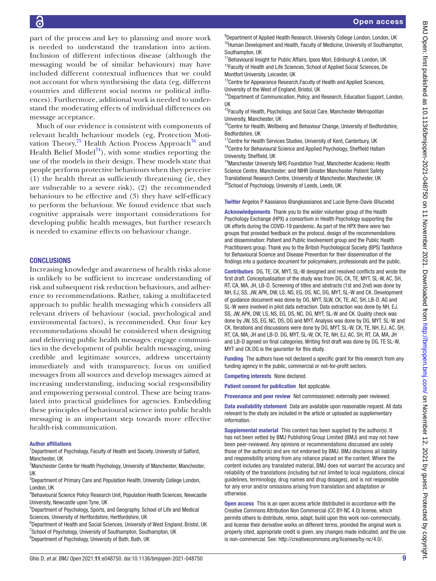part of the process and key to planning and more work is needed to understand the translation into action. Inclusion of different infectious disease (although the messaging would be of similar behaviours) may have included different contextual influences that we could not account for when synthesising the data (eg, different countries and different social norms or political influences). Furthermore, additional work is needed to understand the moderating effects of individual differences on message acceptance.

Much of our evidence is consistent with components of relevant health behaviour models (eg, Protection Motivation Theory, $^{75}$  Health Action Process Approach<sup>76</sup> and Health Belief Model<sup>74</sup>), with some studies reporting the use of the models in their design. These models state that people perform protective behaviours when they perceive (1) the health threat as sufficiently threatening (ie, they are vulnerable to a severe risk), (2) the recommended behaviours to be effective and (3) they have self-efficacy to perform the behaviour. We found evidence that such cognitive appraisals were important considerations for developing public health messages, but further research is needed to examine effects on behaviour change.

#### **CONCLUSIONS**

Increasing knowledge and awareness of health risks alone is unlikely to be sufficient to increase understanding of risk and subsequent risk reduction behaviours, and adherence to recommendations. Rather, taking a multifaceted approach to public health messaging which considers all relevant drivers of behaviour (social, psychological and environmental factors), is recommended. Our four key recommendations should be considered when designing and delivering public health messages: engage communities in the development of public health messaging, using credible and legitimate sources, address uncertainty immediately and with transparency, focus on unified messages from all sources and develop messages aimed at increasing understanding, inducing social responsibility and empowering personal control. These are being translated into practical guidelines for agencies. Embedding these principles of behavioural science into public health messaging is an important step towards more effective health-risk communication.

#### Author affiliations

<sup>1</sup>Department of Psychology, Faculty of Health and Society, University of Salford, Manchester, UK

<sup>2</sup> Manchester Centre for Health Psychology, University of Manchester, Manchester, UK

<sup>3</sup>Department of Primary Care and Population Health, University College London, London, UK

4 Behavioural Science Policy Research Unit, Population Health Sciences, Newcastle University, Newcastle upon Tyne, UK

5 Department of Psychology, Sports, and Geography, School of Life and Medical Sciences, University of Hertfordshire, Hertfordshire, UK

<sup>6</sup>Department of Health and Social Sciences, University of West England, Bristol, UK <sup>7</sup>School of Psychology, University of Southampton, Southampton, UK <sup>8</sup>Department of Psychology, University of Bath, Bath, UK

<sup>9</sup>Department of Applied Health Research, University College London, London, UK <sup>10</sup>Human Development and Health, Faculty of Medicine, University of Southampton, Southampton, UK

<sup>11</sup>Behavioural Insight for Public Affairs, Ipsos Mori, Edinburgh & London, UK <sup>12</sup>Faculty of Health and Life Sciences, School of Applied Social Sciences, De Montfort University, Leicester, UK

<sup>13</sup>Centre for Appearance Research, Faculty of Health and Applied Sciences, University of the West of England, Bristol, UK

<sup>14</sup>Department of Communication, Policy, and Research, Education Support, London, UK

<sup>15</sup>Faculty of Health, Psychology, and Social Care, Manchester Metropolitan University, Manchester, UK

<sup>16</sup>Centre for Health, Wellbeing and Behaviour Change, University of Bedfordshire, Bedfordshire, UK

<sup>17</sup>Centre for Health Services Studies, University of Kent, Canterbury, UK  $18$ Centre for Behavioural Science and Applied Psychology, Sheffield Hallam University, Sheffield, UK

<sup>19</sup>Manchester University NHS Foundation Trust, Manchester Academic Health Science Centre, Manchester; and NIHR Greater Manchester Patient Safety Translational Research Centre, University of Manchester, Manchester, UK <sup>20</sup>School of Psychology, University of Leeds, Leeds, UK

Twitter Angelos P Kassianos [@angkassianos](https://twitter.com/angkassianos) and Lucie Byrne-Davis [@luciebd](https://twitter.com/luciebd)

Acknowledgements Thank you to the wider volunteer group of the Health Psychology Exchange (HPX) a consortium in Health Psychology supporting the UK efforts during the COVID-19 pandemic. As part of the HPX there were two groups that provided feedback on the protocol, design of the recommendations and dissemination: Patient and Public Involvement group and the Public Health Practitioners group. Thank you to the British Psychological Society (BPS) Taskforce for Behavioural Science and Disease Prevention for their dissemination of the findings into a guidance document for policymakers, professionals and the public.

Contributors DG, TE, CK, MYT, SL-W designed and resolved conflicts and wrote the first draft. Conceptualisation of the study was from DG, CK, TE, MYT, SL-W, AC, SH, RT, CA, MA, JH, LB-D. Screening of titles and abstracts (1st and 2nd) was done by NH, EJ, SS, JW, APK, DW, LS, NS, EG, DS, NC, DG, MYT, SL-W and CK. Development of guidance document was done by DG, MYT, SLW, CK, TE, AC, SH, LB-D. AG and SL-W were involved in pilot data extraction. Data extraction was done by NH, EJ, SS, JW, APK, DW, LS, NS, EG, DS, NC, DG, MYT, SL-W and CK. Quality check was done by JW, SS, EG, NC, DS, DG and MYT. Analysis was done by DG, MYT, SL-W and CK. Iterations and discussions were done by DG, MYT, SL-W, CK, TE, NH, EJ, AC, SH, RT, CA, MA, JH and LB-D. DG, MYT, SL-W, CK, TE, NH, EJ, AC, SH, RT, CA, MA, JH and LB-D agreed on final categories. Writing first draft was done by DG, TE SL-W, MYT and CK.DG is the gaurantor for this study.

Funding The authors have not declared a specific grant for this research from any funding agency in the public, commercial or not-for-profit sectors.

Competing interests None declared.

Patient consent for publication Not applicable.

Provenance and peer review Not commissioned; externally peer reviewed.

Data availability statement Data are available upon reasonable request. All data relevant to the study are included in the article or uploaded as supplementary information.

Supplemental material This content has been supplied by the author(s). It has not been vetted by BMJ Publishing Group Limited (BMJ) and may not have been peer-reviewed. Any opinions or recommendations discussed are solely those of the author(s) and are not endorsed by BMJ. BMJ disclaims all liability and responsibility arising from any reliance placed on the content. Where the content includes any translated material, BMJ does not warrant the accuracy and reliability of the translations (including but not limited to local regulations, clinical guidelines, terminology, drug names and drug dosages), and is not responsible for any error and/or omissions arising from translation and adaptation or otherwise.

Open access This is an open access article distributed in accordance with the Creative Commons Attribution Non Commercial (CC BY-NC 4.0) license, which permits others to distribute, remix, adapt, build upon this work non-commercially, and license their derivative works on different terms, provided the original work is properly cited, appropriate credit is given, any changes made indicated, and the use is non-commercial. See: [http://creativecommons.org/licenses/by-nc/4.0/.](http://creativecommons.org/licenses/by-nc/4.0/)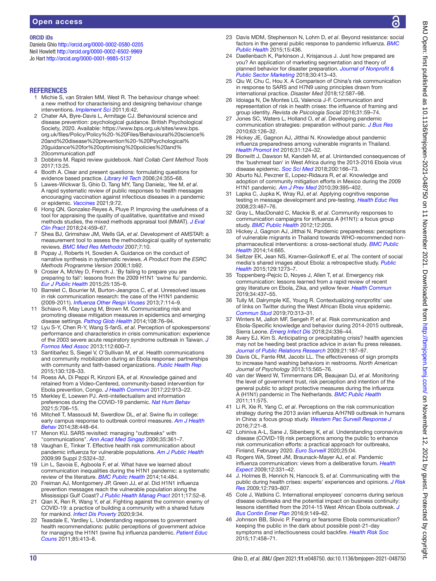#### ORCID iDs

Daniela Ghio <http://orcid.org/0000-0002-0580-0205> Neil Howlett<http://orcid.org/0000-0002-6502-9969> Jo Hart <http://orcid.org/0000-0001-9985-5137>

#### **REFERENCES**

- 1 Michie S, van Stralen MM, West R. The behaviour change wheel: a new method for characterising and designing behaviour change interventions. *[Implement Sci](http://dx.doi.org/10.1186/1748-5908-6-42)* 2011;6:42.
- 2 Chater AA, Byre-Davis L, Armitage CJ. Behavioural science and disease prevention: psychological guidance. British Psychological Society, 2020. Available: [https://www.bps.org.uk/sites/www.bps.](https://www.bps.org.uk/sites/www.bps.org.uk/files/Policy/Policy%20-%20Files/Behavioural%20science%20and%20disease%20prevention%20-%20Psychological%20guidance%20for%20optimising%20policies%20and%20communication.pdf) [org.uk/files/Policy/Policy%20-%20Files/Behavioural%20science%](https://www.bps.org.uk/sites/www.bps.org.uk/files/Policy/Policy%20-%20Files/Behavioural%20science%20and%20disease%20prevention%20-%20Psychological%20guidance%20for%20optimising%20policies%20and%20communication.pdf) [20and%20disease%20prevention%20-%20Psychological%](https://www.bps.org.uk/sites/www.bps.org.uk/files/Policy/Policy%20-%20Files/Behavioural%20science%20and%20disease%20prevention%20-%20Psychological%20guidance%20for%20optimising%20policies%20and%20communication.pdf) [20guidance%20for%20optimising%20policies%20and%](https://www.bps.org.uk/sites/www.bps.org.uk/files/Policy/Policy%20-%20Files/Behavioural%20science%20and%20disease%20prevention%20-%20Psychological%20guidance%20for%20optimising%20policies%20and%20communication.pdf) [20communication.pdf](https://www.bps.org.uk/sites/www.bps.org.uk/files/Policy/Policy%20-%20Files/Behavioural%20science%20and%20disease%20prevention%20-%20Psychological%20guidance%20for%20optimising%20policies%20and%20communication.pdf)
- 3 Dobbins M. Rapid review guidebook. *Natl Collab Cent Method Tools* 2017;13:25.
- 4 Booth A. Clear and present questions: formulating questions for evidence based practice. *[Library Hi Tech](http://dx.doi.org/10.1108/07378830610692127)* 2006;24:355–68.
- 5 Lawes-Wickwar S, Ghio D, Tang MY, Tang Daniela;, Yee M, *et al*. A rapid systematic review of public responses to health messages encouraging vaccination against infectious diseases in a pandemic or epidemic. *[Vaccines](http://dx.doi.org/10.3390/vaccines9020072)* 2021;9:72.
- 6 Hong QN, Gonzalez-Reyes A, Pluye P. Improving the usefulness of a tool for appraising the quality of qualitative, quantitative and mixed methods studies, the mixed methods appraisal tool (MMAT). *[J Eval](http://dx.doi.org/10.1111/jep.12884)  [Clin Pract](http://dx.doi.org/10.1111/jep.12884)* 2018;24:459–67.
- 7 Shea BJ, Grimshaw JM, Wells GA, *et al*. Development of AMSTAR: a measurement tool to assess the methodological quality of systematic reviews. *[BMC Med Res Methodol](http://dx.doi.org/10.1186/1471-2288-7-10)* 2007;7:10.
- 8 Popay J, Roberts H, Sowden A. Guidance on the conduct of narrative synthesis in systematic reviews. *A Product from the ESRC Methods Programme Version* 2006;1:b92.
- 9 Crosier A, McVey D, French J. 'By failing to prepare you are preparing to fail': lessons from the 2009 H1N1 'swine flu' pandemic. *[Eur J Public Health](http://dx.doi.org/10.1093/eurpub/cku131)* 2015;25:135–9.
- 10 Barrelet C, Bourrier M, Burton-Jeangros C, *et al*. Unresolved issues in risk communication research: the case of the H1N1 pandemic (2009-2011). *[Influenza Other Respi Viruses](http://dx.doi.org/10.1111/irv.12090)* 2013;7:114–9.
- 11 Schiavo R, May Leung M, Brown M. Communicating risk and promoting disease mitigation measures in epidemics and emerging disease settings. *[Pathog Glob Health](http://dx.doi.org/10.1179/2047773214Y.0000000127)* 2014;108:76–94.
- 12 Lyu S-Y, Chen R-Y, Wang S-fanS, *et al*. Perception of spokespersons' performance and characteristics in crisis communication: experience of the 2003 severe acute respiratory syndrome outbreak in Taiwan. *[J](http://dx.doi.org/10.1016/j.jfma.2012.12.005)  [Formos Med Assoc](http://dx.doi.org/10.1016/j.jfma.2012.12.005)* 2013;112:600–7.
- 13 Santibañez S, Siegel V, O'Sullivan M, *et al*. Health communications and community mobilization during an Ebola response: partnerships with community and faith-based organizations. *[Public Health Rep](http://dx.doi.org/10.1177/003335491513000205)* 2015;130:128–33.
- 14 Roess AA, Di Peppi R, Kinzoni EA, *et al*. Knowledge gained and retained from a Video-Centered, community-based intervention for Ebola prevention, Congo. *[J Health Commun](http://dx.doi.org/10.1080/10810730.2017.1377321)* 2017;22:913–22.
- 15 Merkley E, Loewen PJ. Anti-intellectualism and information preferences during the COVID-19 pandemic. *[Nat Hum Behav](https://doi.org/10.1038/s41562-021-01112-w)* 2021;5:706–15.
- 16 Mitchell T, Massoudi M, Swerdlow DL, *et al*. Swine flu in college: early campus response to outbreak control measures. *[Am J Health](http://dx.doi.org/10.5993/AJHB.38.3.14)  [Behav](http://dx.doi.org/10.5993/AJHB.38.3.14)* 2014;38:448–64.
- 17 Menon KU. SARS revisited: managing "outbreaks" with "communications". *[Ann Acad Med Singap](http://www.ncbi.nlm.nih.gov/pubmed/16830005)* 2006;35:361–7.
- 18 Vaughan E, Tinker T. Effective health risk communication about pandemic influenza for vulnerable populations. *[Am J Public Health](http://dx.doi.org/10.2105/AJPH.2009.162537)* 2009;99 Suppl 2:S324–32.
- 19 Lin L, Savoia E, Agboola F, *et al*. What have we learned about communication inequalities during the H1N1 pandemic: a systematic review of the literature. *[BMC Public Health](http://dx.doi.org/10.1186/1471-2458-14-484)* 2014;14:484.
- 20 Freiman AJ, Montgomery JP, Green JJ, *et al*. Did H1N1 influenza prevention messages reach the vulnerable population along the Mississippi Gulf Coast? *[J Public Health Manag Pract](http://dx.doi.org/10.1097/PHH.0b013e3181fb8002)* 2011;17:52–8.
- 21 Qian X, Ren R, Wang Y, *et al*. Fighting against the common enemy of COVID-19: a practice of building a community with a shared future for mankind. *[Infect Dis Poverty](http://dx.doi.org/10.1186/s40249-020-00650-1)* 2020;9:34.
- 22 Teasdale E, Yardley L. Understanding responses to government health recommendations: public perceptions of government advice for managing the H1N1 (swine flu) influenza pandemic. *[Patient Educ](http://dx.doi.org/10.1016/j.pec.2010.12.026)  [Couns](http://dx.doi.org/10.1016/j.pec.2010.12.026)* 2011;85:413–8.
- 23 Davis MDM, Stephenson N, Lohm D, *et al*. Beyond resistance: social factors in the general public response to pandemic influenza. *[BMC](http://dx.doi.org/10.1186/s12889-015-1756-8)  [Public Health](http://dx.doi.org/10.1186/s12889-015-1756-8)* 2015;15:436.
- 24 Daellenbach K, Parkinson J, Krisjanous J. Just how prepared are you? An application of marketing segmentation and theory of planned behavior for disaster preparation. *[Journal of Nonprofit &](http://dx.doi.org/10.1080/10495142.2018.1452830)  [Public Sector Marketing](http://dx.doi.org/10.1080/10495142.2018.1452830)* 2018;30:413–43.
- 25 Qiu W, Chu C, Hou X. A Comparison of China's risk communication in response to SARS and H7N9 using principles drawn from international practice. *Disaster Med* 2018;12:587–98.
- 26 Idoiaga N, De Montes LG, Valencia J-F. Communication and representation of risk in health crises: the influence of framing and group identity. *Revista de Psicologia Social* 2016;31:59–74.
- 27 Jones SC, Waters L, Holland O, *et al*. Developing pandemic communication strategies: preparation without panic. *[J Bus Res](http://dx.doi.org/10.1016/j.jbusres.2009.02.009)* 2010;63:126–32.
- 28 Hickey JE, Gagnon AJ, Jitthai N. Knowledge about pandemic influenza preparedness among vulnerable migrants in Thailand. *[Health Promot Int](http://dx.doi.org/10.1093/heapro/dau074)* 2016;31:124–32.
- 29 Bonwitt J, Dawson M, Kandeh M, *et al*. Unintended consequences of the 'bushmeat ban' in West Africa during the 2013-2016 Ebola virus disease epidemic. *[Soc Sci Med](http://dx.doi.org/10.1016/j.socscimed.2017.12.028)* 2018;200:166–73.
- 30 Aburto NJ, Pevzner E, Lopez-Ridaura R, *et al*. Knowledge and adoption of community mitigation efforts in Mexico during the 2009 H1N1 pandemic. *[Am J Prev Med](http://dx.doi.org/10.1016/j.amepre.2010.07.011)* 2010;39:395–402.
- 31 Lapka C, Jupka K, Wray RJ, *et al*. Applying cognitive response testing in message development and pre-testing. *[Health Educ Res](http://dx.doi.org/10.1093/her/cym089)* 2008;23:467–76.
- 32 Gray L, MacDonald C, Mackie B, *et al*. Community responses to communication campaigns for influenza A (H1N1): a focus group study. *[BMC Public Health](http://dx.doi.org/10.1186/1471-2458-12-205)* 2012;12:205.
- 33 Hickey J, Gagnon AJ, Jitthai N. Pandemic preparedness: perceptions of vulnerable migrants in Thailand towards WHO-recommended nonpharmaceutical interventions: a cross-sectional study. *[BMC Public](http://dx.doi.org/10.1186/1471-2458-14-665)  [Health](http://dx.doi.org/10.1186/1471-2458-14-665)* 2014;14:665.
- 34 Seltzer EK, Jean NS, Kramer-Golinkoff E, *et al*. The content of social media's shared images about Ebola: a retrospective study. *[Public](http://dx.doi.org/10.1016/j.puhe.2015.07.025)  [Health](http://dx.doi.org/10.1016/j.puhe.2015.07.025)* 2015;129:1273–7.
- 35 Toppenberg-Pejcic D, Noyes J, Allen T, *et al*. Emergency risk communication: lessons learned from a rapid review of recent gray literature on Ebola, Zika, and yellow fever. *[Health Commun](http://dx.doi.org/10.1080/10410236.2017.1405488)* 2019;34:437–55.
- 36 Tully M, Dalrymple KE, Young R. Contextualizing nonprofits' use of links on Twitter during the West African Ebola virus epidemic. *[Commun Stud](http://dx.doi.org/10.1080/10510974.2018.1539021)* 2019;70:313–31.
- 37 Winters M, Jalloh MF, Sengeh P, *et al*. Risk communication and Ebola-Specific knowledge and behavior during 2014-2015 outbreak, Sierra Leone. *[Emerg Infect Dis](http://dx.doi.org/10.3201/eid2402.171028)* 2018;24:336–44.
- 38 Avery EJ, Kim S. Anticipating or precipitating crisis? health agencies may not be heeding best practice advice in avian flu press releases. *[Journal of Public Relations Research](http://dx.doi.org/10.1080/10627260802557449)* 2009;21:187–97.
- 39 Davis OL, Fante RM, Jacobi LL. The effectiveness of sign prompts to increase hand washing behaviors in restrooms. *North American Journal of Psychology* 2013;15:565–76.
- 40 van der Weerd W, Timmermans DR, Beaujean DJ, *et al*. Monitoring the level of government trust, risk perception and intention of the general public to adopt protective measures during the influenza A (H1N1) pandemic in The Netherlands. *[BMC Public Health](http://dx.doi.org/10.1186/1471-2458-11-575)* 2011;11:575.
- 41 Li R, Xie R, Yang C, *et al*. Perceptions on the risk communication strategy during the 2013 avian influenza A/H7N9 outbreak in humans in China: a focus group study. *[Western Pac Surveill Response J](http://dx.doi.org/10.5365/wpsar.2016.7.1.005)* 2016;7:21–8.
- 42 Lohiniva A-L, Sane J, Sibenberg K, *et al*. Understanding coronavirus disease (COVID-19) risk perceptions among the public to enhance risk communication efforts: a practical approach for outbreaks, Finland, February 2020. *[Euro Surveill](http://dx.doi.org/10.2807/1560-7917.ES.2020.25.13.2000317)* 2020;25:04.
- 43 Rogers WA, Street JM, Braunack-Mayer AJ, *et al*. Pandemic influenza communication: views from a deliberative forum. *[Health](http://dx.doi.org/10.1111/j.1369-7625.2009.00562.x)  [Expect](http://dx.doi.org/10.1111/j.1369-7625.2009.00562.x)* 2009;12:331–42.
- 44 J. Holmes B, Henrich N, Hancock S, *et al*. Communicating with the public during health crises: experts' experiences and opinions. *[J Risk](http://dx.doi.org/10.1080/13669870802648486)  [Res](http://dx.doi.org/10.1080/13669870802648486)* 2009;12:793–807.
- 45 Cole J, Watkins C. International employees' concerns during serious disease outbreaks and the potential impact on business continuity: lessons identified from the 2014-15 West African Ebola outbreak. *[J](http://www.ncbi.nlm.nih.gov/pubmed/26642172)  [Bus Contin Emer Plan](http://www.ncbi.nlm.nih.gov/pubmed/26642172)* 2016;9:149–62.
- 46 Johnson BB, Slovic P. Fearing or fearsome Ebola communication? keeping the public in the dark about possible post-21-day symptoms and infectiousness could backfire. *[Health Risk Soc](http://dx.doi.org/10.1080/13698575.2015.1113237)* 2015;17:458–71.